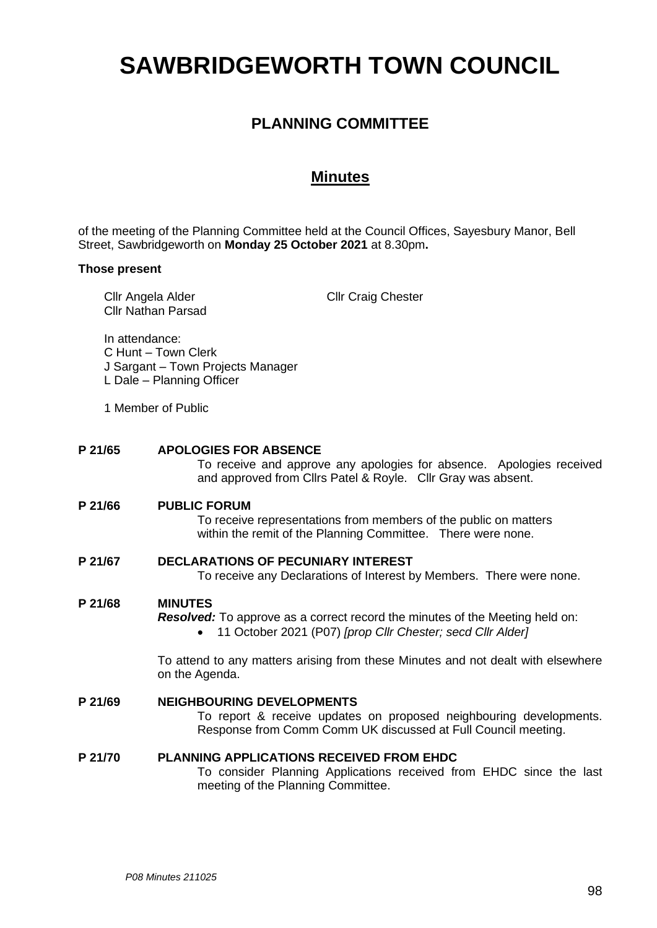# **SAWBRIDGEWORTH TOWN COUNCIL**

# **PLANNING COMMITTEE**

# **Minutes**

of the meeting of the Planning Committee held at the Council Offices, Sayesbury Manor, Bell Street, Sawbridgeworth on **Monday 25 October 2021** at 8.30pm**.**

## **Those present**

|         | Cllr Angela Alder                                                                                       | <b>Cllr Nathan Parsad</b>                                                                                                                                            | <b>Cllr Craig Chester</b>                                                                                                                         |  |
|---------|---------------------------------------------------------------------------------------------------------|----------------------------------------------------------------------------------------------------------------------------------------------------------------------|---------------------------------------------------------------------------------------------------------------------------------------------------|--|
|         | In attendance:<br>C Hunt - Town Clerk<br>J Sargant - Town Projects Manager<br>L Dale - Planning Officer |                                                                                                                                                                      |                                                                                                                                                   |  |
|         | 1 Member of Public                                                                                      |                                                                                                                                                                      |                                                                                                                                                   |  |
| P 21/65 |                                                                                                         | <b>APOLOGIES FOR ABSENCE</b><br>To receive and approve any apologies for absence. Apologies received<br>and approved from Cllrs Patel & Royle. Cllr Gray was absent. |                                                                                                                                                   |  |
|         | P 21/66                                                                                                 | <b>PUBLIC FORUM</b>                                                                                                                                                  | To receive representations from members of the public on matters<br>within the remit of the Planning Committee. There were none.                  |  |
|         | P 21/67                                                                                                 | <b>DECLARATIONS OF PECUNIARY INTEREST</b>                                                                                                                            | To receive any Declarations of Interest by Members. There were none.                                                                              |  |
|         | P 21/68                                                                                                 | <b>MINUTES</b>                                                                                                                                                       | <b>Resolved:</b> To approve as a correct record the minutes of the Meeting held on:<br>11 October 2021 (P07) [prop Cllr Chester; secd Cllr Alder] |  |
|         |                                                                                                         | on the Agenda.                                                                                                                                                       | To attend to any matters arising from these Minutes and not dealt with elsewhere                                                                  |  |
|         | P 21/69                                                                                                 | <b>NEIGHBOURING DEVELOPMENTS</b>                                                                                                                                     | To report & receive updates on proposed neighbouring developments.<br>Response from Comm Comm UK discussed at Full Council meeting.               |  |
|         | P 21/70                                                                                                 | <b>PLANNING APPLICATIONS RECEIVED FROM EHDC</b><br>meeting of the Planning Committee.                                                                                | To consider Planning Applications received from EHDC since the last                                                                               |  |
|         |                                                                                                         |                                                                                                                                                                      |                                                                                                                                                   |  |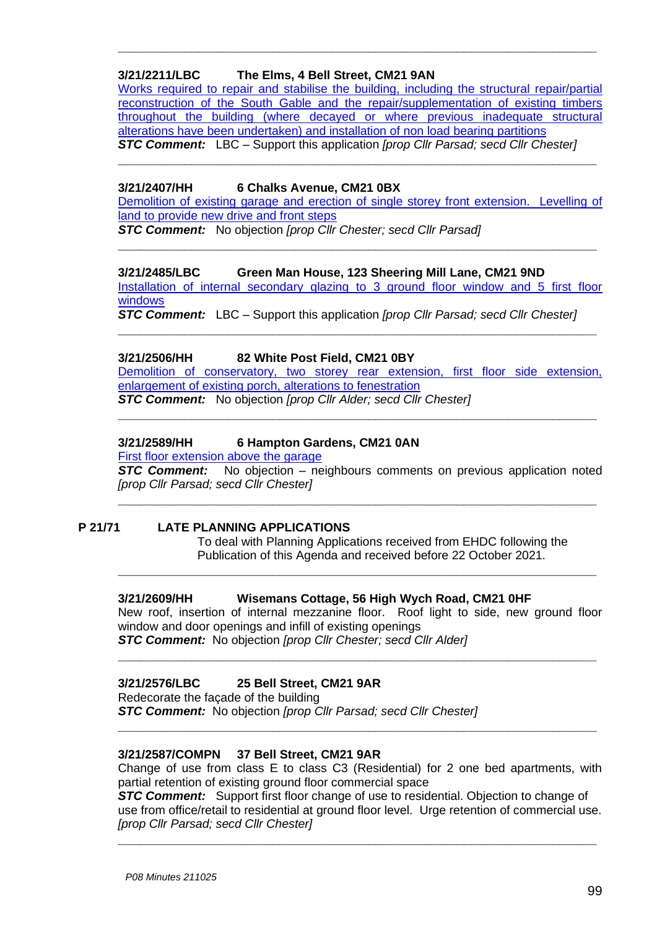# **3/21/2211/LBC The Elms, 4 Bell Street, CM21 9AN**

[Works required to repair and stabilise the building, including the structural repair/partial](https://publicaccess.eastherts.gov.uk/online-applications/applicationDetails.do?activeTab=documents&keyVal=QYASGCGLGPR00)  [reconstruction of the South Gable and the repair/supplementation of existing timbers](https://publicaccess.eastherts.gov.uk/online-applications/applicationDetails.do?activeTab=documents&keyVal=QYASGCGLGPR00)  [throughout the building \(where decayed or where previous inadequate structural](https://publicaccess.eastherts.gov.uk/online-applications/applicationDetails.do?activeTab=documents&keyVal=QYASGCGLGPR00)  [alterations have been undertaken\) and installation of non load bearing partitions](https://publicaccess.eastherts.gov.uk/online-applications/applicationDetails.do?activeTab=documents&keyVal=QYASGCGLGPR00) *STC Comment:* LBC – Support this application *[prop Cllr Parsad; secd Cllr Chester]*

**\_\_\_\_\_\_\_\_\_\_\_\_\_\_\_\_\_\_\_\_\_\_\_\_\_\_\_\_\_\_\_\_\_\_\_\_\_\_\_\_\_\_\_\_\_\_\_\_\_\_\_\_\_\_\_\_\_\_\_\_\_\_\_\_\_**

**\_\_\_\_\_\_\_\_\_\_\_\_\_\_\_\_\_\_\_\_\_\_\_\_\_\_\_\_\_\_\_\_\_\_\_\_\_\_\_\_\_\_\_\_\_\_\_\_\_\_\_\_\_\_\_\_\_\_\_\_\_\_\_\_\_**

# **3/21/2407/HH 6 Chalks Avenue, CM21 0BX**

[Demolition of existing garage and erection of single storey front extension. Levelling of](https://publicaccess.eastherts.gov.uk/online-applications/applicationDetails.do?activeTab=documents&keyVal=QZL32RGLH3U00)  [land to provide new drive and front steps](https://publicaccess.eastherts.gov.uk/online-applications/applicationDetails.do?activeTab=documents&keyVal=QZL32RGLH3U00)

**\_\_\_\_\_\_\_\_\_\_\_\_\_\_\_\_\_\_\_\_\_\_\_\_\_\_\_\_\_\_\_\_\_\_\_\_\_\_\_\_\_\_\_\_\_\_\_\_\_\_\_\_\_\_\_\_\_\_\_\_\_\_\_\_\_**

*STC Comment:* No objection *[prop Cllr Chester; secd Cllr Parsad]*

# **3/21/2485/LBC Green Man House, 123 Sheering Mill Lane, CM21 9ND**

[Installation of internal secondary glazing to 3 ground floor window and 5 first floor](https://publicaccess.eastherts.gov.uk/online-applications/applicationDetails.do?activeTab=documents&keyVal=R06OWPGLH9O00)  [windows](https://publicaccess.eastherts.gov.uk/online-applications/applicationDetails.do?activeTab=documents&keyVal=R06OWPGLH9O00)

*STC Comment:* LBC – Support this application *[prop Cllr Parsad; secd Cllr Chester]*

**\_\_\_\_\_\_\_\_\_\_\_\_\_\_\_\_\_\_\_\_\_\_\_\_\_\_\_\_\_\_\_\_\_\_\_\_\_\_\_\_\_\_\_\_\_\_\_\_\_\_\_\_\_\_\_\_\_\_\_\_\_\_\_\_\_**

# **3/21/2506/HH 82 White Post Field, CM21 0BY**

Demolition of conservatory, two storey rear extension, first floor side extension, [enlargement of existing porch, alterations to fenestration](https://publicaccess.eastherts.gov.uk/online-applications/applicationDetails.do?activeTab=documents&keyVal=R0B0ERGLHBL00)

*STC Comment:* No objection *[prop Cllr Alder; secd Cllr Chester]* **\_\_\_\_\_\_\_\_\_\_\_\_\_\_\_\_\_\_\_\_\_\_\_\_\_\_\_\_\_\_\_\_\_\_\_\_\_\_\_\_\_\_\_\_\_\_\_\_\_\_\_\_\_\_\_\_\_\_\_\_\_\_\_\_\_**

# **3/21/2589/HH 6 Hampton Gardens, CM21 0AN**

[First floor extension above the garage](https://publicaccess.eastherts.gov.uk/online-applications/applicationDetails.do?activeTab=documents&keyVal=R0WTXGGL00X00)

**STC Comment:** No objection – neighbours comments on previous application noted *[prop Cllr Parsad; secd Cllr Chester]*

**\_\_\_\_\_\_\_\_\_\_\_\_\_\_\_\_\_\_\_\_\_\_\_\_\_\_\_\_\_\_\_\_\_\_\_\_\_\_\_\_\_\_\_\_\_\_\_\_\_\_\_\_\_\_\_\_\_\_\_\_\_\_\_\_\_**

**\_\_\_\_\_\_\_\_\_\_\_\_\_\_\_\_\_\_\_\_\_\_\_\_\_\_\_\_\_\_\_\_\_\_\_\_\_\_\_\_\_\_\_\_\_\_\_\_\_\_\_\_\_\_\_\_\_\_\_\_\_\_\_\_\_**

# **P 21/71 LATE PLANNING APPLICATIONS**

To deal with Planning Applications received from EHDC following the Publication of this Agenda and received before 22 October 2021.

# **3/21/2609/HH Wisemans Cottage, 56 High Wych Road, CM21 0HF**

New roof, insertion of internal mezzanine floor. Roof light to side, new ground floor window and door openings and infill of existing openings *STC Comment:* No objection *[prop Cllr Chester; secd Cllr Alder]*

**\_\_\_\_\_\_\_\_\_\_\_\_\_\_\_\_\_\_\_\_\_\_\_\_\_\_\_\_\_\_\_\_\_\_\_\_\_\_\_\_\_\_\_\_\_\_\_\_\_\_\_\_\_\_\_\_\_\_\_\_\_\_\_\_\_**

# **3/21/2576/LBC 25 Bell Street, CM21 9AR**

Redecorate the façade of the building

*STC Comment:* No objection *[prop Cllr Parsad; secd Cllr Chester]*

# **3/21/2587/COMPN 37 Bell Street, CM21 9AR**

Change of use from class E to class C3 (Residential) for 2 one bed apartments, with partial retention of existing ground floor commercial space

**\_\_\_\_\_\_\_\_\_\_\_\_\_\_\_\_\_\_\_\_\_\_\_\_\_\_\_\_\_\_\_\_\_\_\_\_\_\_\_\_\_\_\_\_\_\_\_\_\_\_\_\_\_\_\_\_\_\_\_\_\_\_\_\_\_**

**STC Comment:** Support first floor change of use to residential. Objection to change of use from office/retail to residential at ground floor level. Urge retention of commercial use. *[prop Cllr Parsad; secd Cllr Chester]*

**\_\_\_\_\_\_\_\_\_\_\_\_\_\_\_\_\_\_\_\_\_\_\_\_\_\_\_\_\_\_\_\_\_\_\_\_\_\_\_\_\_\_\_\_\_\_\_\_\_\_\_\_\_\_\_\_\_\_\_\_\_\_\_\_\_**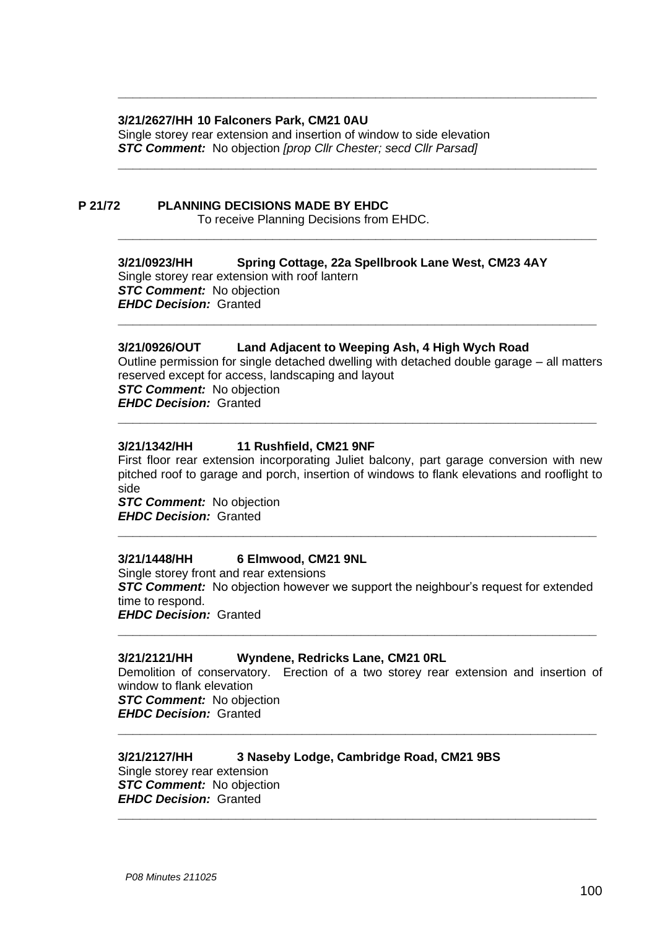#### **3/21/2627/HH 10 Falconers Park, CM21 0AU**

Single storey rear extension and insertion of window to side elevation *STC Comment:* No objection *[prop Cllr Chester; secd Cllr Parsad]*

# **P 21/72 PLANNING DECISIONS MADE BY EHDC**

To receive Planning Decisions from EHDC.

## **3/21/0923/HH Spring Cottage, 22a Spellbrook Lane West, CM23 4AY**

**\_\_\_\_\_\_\_\_\_\_\_\_\_\_\_\_\_\_\_\_\_\_\_\_\_\_\_\_\_\_\_\_\_\_\_\_\_\_\_\_\_\_\_\_\_\_\_\_\_\_\_\_\_\_\_\_\_\_\_\_\_\_\_\_\_**

**\_\_\_\_\_\_\_\_\_\_\_\_\_\_\_\_\_\_\_\_\_\_\_\_\_\_\_\_\_\_\_\_\_\_\_\_\_\_\_\_\_\_\_\_\_\_\_\_\_\_\_\_\_\_\_\_\_\_\_\_\_\_\_\_\_**

**\_\_\_\_\_\_\_\_\_\_\_\_\_\_\_\_\_\_\_\_\_\_\_\_\_\_\_\_\_\_\_\_\_\_\_\_\_\_\_\_\_\_\_\_\_\_\_\_\_\_\_\_\_\_\_\_\_\_\_\_\_\_\_\_\_**

Single storey rear extension with roof lantern *STC Comment:* No objection *EHDC Decision:* Granted

#### **3/21/0926/OUT Land Adjacent to Weeping Ash, 4 High Wych Road**

Outline permission for single detached dwelling with detached double garage – all matters reserved except for access, landscaping and layout *STC Comment:* No objection *EHDC Decision:* Granted

**\_\_\_\_\_\_\_\_\_\_\_\_\_\_\_\_\_\_\_\_\_\_\_\_\_\_\_\_\_\_\_\_\_\_\_\_\_\_\_\_\_\_\_\_\_\_\_\_\_\_\_\_\_\_\_\_\_\_\_\_\_\_\_\_\_**

**\_\_\_\_\_\_\_\_\_\_\_\_\_\_\_\_\_\_\_\_\_\_\_\_\_\_\_\_\_\_\_\_\_\_\_\_\_\_\_\_\_\_\_\_\_\_\_\_\_\_\_\_\_\_\_\_\_\_\_\_\_\_\_\_\_**

#### **3/21/1342/HH 11 Rushfield, CM21 9NF**

First floor rear extension incorporating Juliet balcony, part garage conversion with new pitched roof to garage and porch, insertion of windows to flank elevations and rooflight to side *STC Comment:* No objection

*EHDC Decision:* Granted

#### **3/21/1448/HH 6 Elmwood, CM21 9NL**

Single storey front and rear extensions **STC Comment:** No objection however we support the neighbour's request for extended time to respond. *EHDC Decision:* Granted

**\_\_\_\_\_\_\_\_\_\_\_\_\_\_\_\_\_\_\_\_\_\_\_\_\_\_\_\_\_\_\_\_\_\_\_\_\_\_\_\_\_\_\_\_\_\_\_\_\_\_\_\_\_\_\_\_\_\_\_\_\_\_\_\_\_**

**\_\_\_\_\_\_\_\_\_\_\_\_\_\_\_\_\_\_\_\_\_\_\_\_\_\_\_\_\_\_\_\_\_\_\_\_\_\_\_\_\_\_\_\_\_\_\_\_\_\_\_\_\_\_\_\_\_\_\_\_\_\_\_\_\_**

#### **3/21/2121/HH Wyndene, Redricks Lane, CM21 0RL**

Demolition of conservatory. Erection of a two storey rear extension and insertion of window to flank elevation *STC Comment:* No objection *EHDC Decision:* Granted

**\_\_\_\_\_\_\_\_\_\_\_\_\_\_\_\_\_\_\_\_\_\_\_\_\_\_\_\_\_\_\_\_\_\_\_\_\_\_\_\_\_\_\_\_\_\_\_\_\_\_\_\_\_\_\_\_\_\_\_\_\_\_\_\_\_**

**\_\_\_\_\_\_\_\_\_\_\_\_\_\_\_\_\_\_\_\_\_\_\_\_\_\_\_\_\_\_\_\_\_\_\_\_\_\_\_\_\_\_\_\_\_\_\_\_\_\_\_\_\_\_\_\_\_\_\_\_\_\_\_\_\_**

# **3/21/2127/HH 3 Naseby Lodge, Cambridge Road, CM21 9BS**

Single storey rear extension *STC Comment:* No objection *EHDC Decision:* Granted